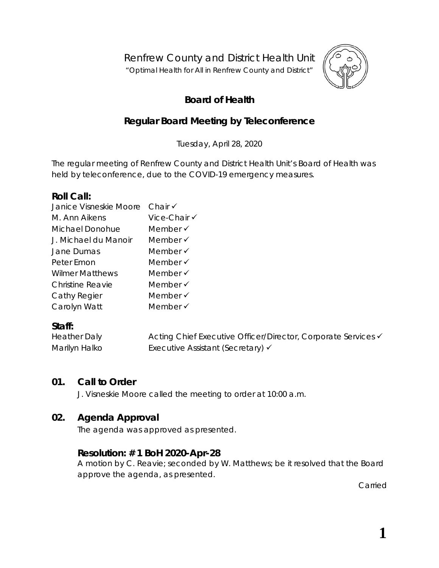Renfrew County and District Health Unit

"*Optimal Health for All in Renfrew County and District"*



# **Board of Health**

# **Regular Board Meeting by Teleconference**

Tuesday, April 28, 2020

The regular meeting of Renfrew County and District Health Unit's Board of Health was held by teleconference, due to the COVID-19 emergency measures.

### **Roll Call:**

| Janice Visneskie Moore | Chair $\checkmark$  |
|------------------------|---------------------|
| M. Ann Aikens          | Vice-Chair √        |
| Michael Donohue        | Member $\checkmark$ |
| J. Michael du Manoir   | Member $\checkmark$ |
| Jane Dumas             | Member $\checkmark$ |
| Peter Emon             | Member √            |
| <b>Wilmer Matthews</b> | Member $\checkmark$ |
| Christine Reavie       | Member √            |
| Cathy Regier           | Member $\checkmark$ |
| Carolyn Watt           | Member $\checkmark$ |
|                        |                     |

## **Staff:**

| <b>Heather Daly</b> | Acting Chief Executive Officer/Director, Corporate Services v |
|---------------------|---------------------------------------------------------------|
| Marilyn Halko       | Executive Assistant (Secretary) √                             |

## **01. Call to Order**

J. Visneskie Moore called the meeting to order at 10:00 a.m.

## **02. Agenda Approval**

The agenda was approved as presented.

## **Resolution: # 1 BoH 2020-Apr-28**

A motion by C. Reavie; seconded by W. Matthews; be it resolved that the Board approve the agenda, as presented.

Carried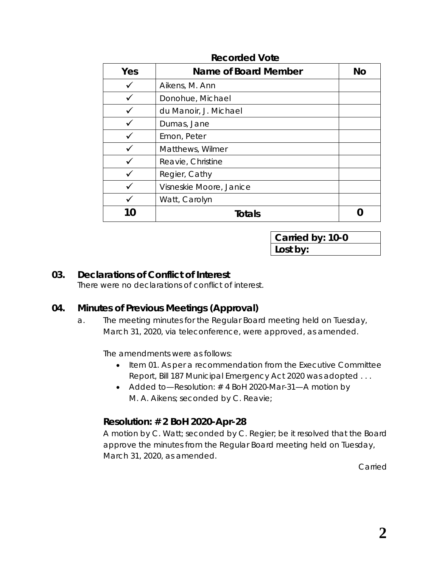| Yes | <b>Name of Board Member</b> | No |
|-----|-----------------------------|----|
|     | Aikens, M. Ann              |    |
|     | Donohue, Michael            |    |
|     | du Manoir, J. Michael       |    |
|     | Dumas, Jane                 |    |
|     | Emon, Peter                 |    |
|     | Matthews, Wilmer            |    |
|     | Reavie, Christine           |    |
|     | Regier, Cathy               |    |
|     | Visneskie Moore, Janice     |    |
|     | Watt, Carolyn               |    |
|     | <b>Totals</b>               |    |

#### **Recorded Vote**

**Carried by: 10-0 Lost by:**

#### **03. Declarations of Conflict of Interest**

There were no declarations of conflict of interest.

## **04. Minutes of Previous Meetings (Approval)**

a. The meeting minutes for the Regular Board meeting held on Tuesday, March 31, 2020, via teleconference, were approved, as amended.

The amendments were as follows:

- Item 01. As per a recommendation from the Executive Committee Report, Bill 187 Municipal Emergency Act 2020 was adopted . . .
- Added to—Resolution: #4 BoH 2020-Mar-31—A motion by M. A. Aikens; seconded by C. Reavie;

## **Resolution: # 2 BoH 2020-Apr-28**

A motion by C. Watt; seconded by C. Regier; be it resolved that the Board approve the minutes from the Regular Board meeting held on Tuesday, March 31, 2020, as amended.

**Carried**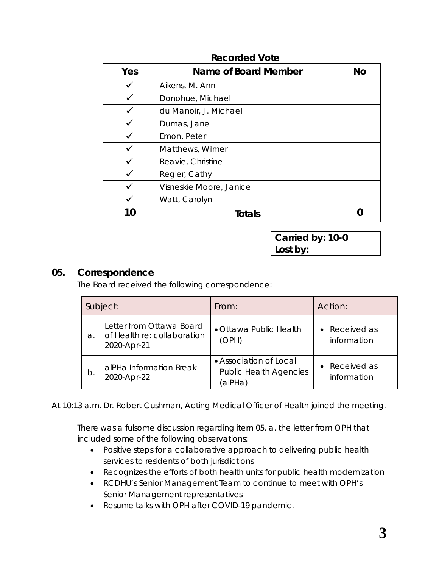| Yes | Name of Board Member    | <b>No</b> |
|-----|-------------------------|-----------|
|     | Aikens, M. Ann          |           |
|     | Donohue, Michael        |           |
|     | du Manoir, J. Michael   |           |
|     | Dumas, Jane             |           |
|     | Emon, Peter             |           |
|     | Matthews, Wilmer        |           |
|     | Reavie, Christine       |           |
|     | Regier, Cathy           |           |
|     | Visneskie Moore, Janice |           |
|     | Watt, Carolyn           |           |
|     | <b>Totals</b>           |           |

#### **Recorded Vote**

**Carried by: 10-0 Lost by:**

#### **05. Correspondence**

The Board received the following correspondence:

|    | Subject:                                                               | From:                                                              | Action:                      |
|----|------------------------------------------------------------------------|--------------------------------------------------------------------|------------------------------|
| a. | Letter from Ottawa Board<br>of Health re: collaboration<br>2020-Apr-21 | · Ottawa Public Health<br>(OPH)                                    | • Received as<br>information |
| b. | alPHa Information Break<br>2020-Apr-22                                 | • Association of Local<br><b>Public Health Agencies</b><br>(alPHa) | • Received as<br>information |

At 10:13 a.m. Dr. Robert Cushman, Acting Medical Officer of Health joined the meeting.

There was a fulsome discussion regarding item 05. a. the letter from OPH that included some of the following observations:

- Positive steps for a collaborative approach to delivering public health services to residents of both jurisdictions
- Recognizes the efforts of both health units for public health modernization
- RCDHU's Senior Management Team to continue to meet with OPH's Senior Management representatives
- Resume talks with OPH after COVID-19 pandemic.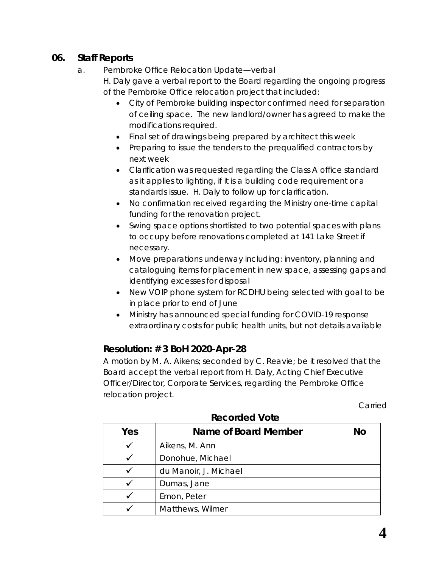## **06. Staff Reports**

### a. Pembroke Office Relocation Update—verbal

H. Daly gave a verbal report to the Board regarding the ongoing progress of the Pembroke Office relocation project that included:

- City of Pembroke building inspector confirmed need for separation of ceiling space. The new landlord/owner has agreed to make the modifications required.
- Final set of drawings being prepared by architect this week
- Preparing to issue the tenders to the prequalified contractors by next week
- Clarification was requested regarding the Class A office standard as it applies to lighting, if it is a building code requirement or a standards issue. H. Daly to follow up for clarification.
- No confirmation received regarding the Ministry one-time capital funding for the renovation project.
- Swing space options shortlisted to two potential spaces with plans to occupy before renovations completed at 141 Lake Street if necessary.
- Move preparations underway including: inventory, planning and cataloguing items for placement in new space, assessing gaps and identifying excesses for disposal
- New VOIP phone system for RCDHU being selected with goal to be in place prior to end of June
- Ministry has announced special funding for COVID-19 response extraordinary costs for public health units, but not details available

# **Resolution: # 3 BoH 2020-Apr-28**

A motion by M. A. Aikens; seconded by C. Reavie; be it resolved that the Board accept the verbal report from H. Daly, Acting Chief Executive Officer/Director, Corporate Services, regarding the Pembroke Office relocation project.

Carried

| Yes | Name of Board Member  | <b>No</b> |
|-----|-----------------------|-----------|
|     | Aikens, M. Ann        |           |
|     | Donohue, Michael      |           |
|     | du Manoir, J. Michael |           |
|     | Dumas, Jane           |           |
|     | Emon, Peter           |           |
|     | Matthews, Wilmer      |           |

#### **Recorded Vote**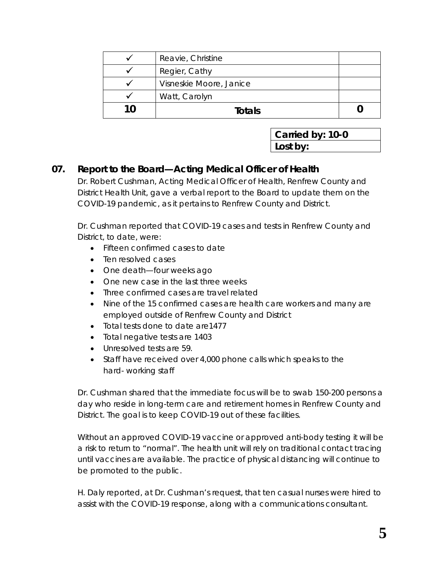|    | Reavie, Christine       |  |
|----|-------------------------|--|
|    | Regier, Cathy           |  |
|    | Visneskie Moore, Janice |  |
|    | Watt, Carolyn           |  |
| 10 | Totals                  |  |

| Carried by: 10-0 |  |  |
|------------------|--|--|
| Lost by:         |  |  |

## **07. Report to the Board—Acting Medical Officer of Health**

Dr. Robert Cushman, Acting Medical Officer of Health, Renfrew County and District Health Unit, gave a verbal report to the Board to update them on the COVID-19 pandemic, as it pertains to Renfrew County and District.

Dr. Cushman reported that COVID-19 cases and tests in Renfrew County and District, to date, were:

- Fifteen confirmed cases to date
- Ten resolved cases
- One death—four weeks ago
- One new case in the last three weeks
- Three confirmed cases are travel related
- Nine of the 15 confirmed cases are health care workers and many are employed outside of Renfrew County and District
- Total tests done to date are1477
- Total negative tests are 1403
- Unresolved tests are 59.
- Staff have received over 4,000 phone calls which speaks to the hard- working staff

Dr. Cushman shared that the immediate focus will be to swab 150-200 persons a day who reside in long-term care and retirement homes in Renfrew County and District. The goal is to keep COVID-19 out of these facilities.

Without an approved COVID-19 vaccine or approved anti-body testing it will be a risk to return to "normal". The health unit will rely on traditional contact tracing until vaccines are available. The practice of physical distancing will continue to be promoted to the public.

H. Daly reported, at Dr. Cushman's request, that ten casual nurses were hired to assist with the COVID-19 response, along with a communications consultant.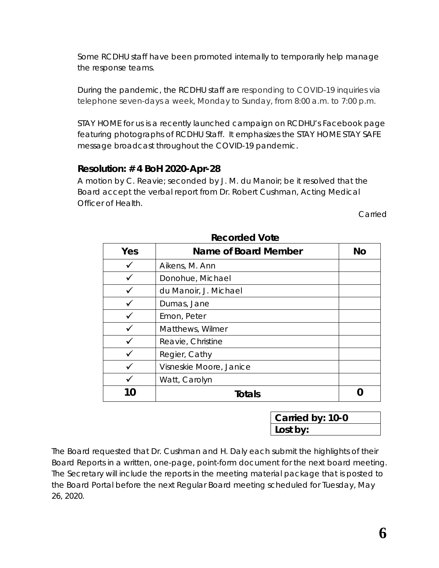Some RCDHU staff have been promoted internally to temporarily help manage the response teams.

During the pandemic, the RCDHU staff are responding to COVID-19 inquiries via telephone seven-days a week, Monday to Sunday, from 8:00 a.m. to 7:00 p.m.

*STAY HOME for us* is a recently launched campaign on RCDHU's Facebook page featuring photographs of RCDHU Staff. It emphasizes the STAY HOME STAY SAFE message broadcast throughout the COVID-19 pandemic.

## **Resolution: # 4 BoH 2020-Apr-28**

A motion by C. Reavie; seconded by J. M. du Manoir; be it resolved that the Board accept the verbal report from Dr. Robert Cushman, Acting Medical Officer of Health.

Carried

| Yes          | Name of Board Member    | No |
|--------------|-------------------------|----|
|              | Aikens, M. Ann          |    |
|              | Donohue, Michael        |    |
|              | du Manoir, J. Michael   |    |
|              | Dumas, Jane             |    |
|              | Emon, Peter             |    |
|              | Matthews, Wilmer        |    |
|              | Reavie, Christine       |    |
|              | Regier, Cathy           |    |
|              | Visneskie Moore, Janice |    |
|              | Watt, Carolyn           |    |
| $\mathbf{I}$ | Totals                  |    |

**Recorded Vote**

**Carried by: 10-0 Lost by:**

The Board requested that Dr. Cushman and H. Daly each submit the highlights of their Board Reports in a written, one-page, point-form document for the next board meeting. The Secretary will include the reports in the meeting material package that is posted to the Board Portal before the next Regular Board meeting scheduled for Tuesday, May 26, 2020.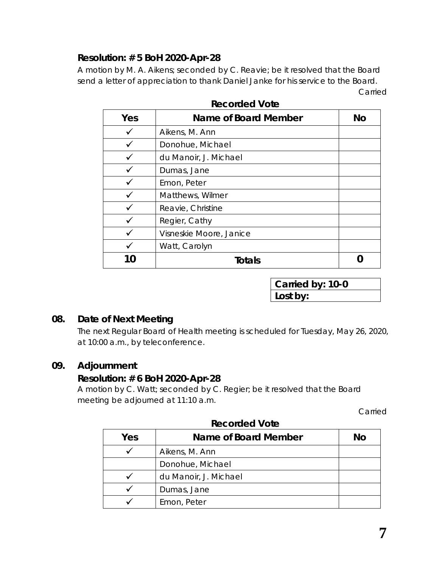## **Resolution: # 5 BoH 2020-Apr-28**

A motion by M. A. Aikens; seconded by C. Reavie; be it resolved that the Board send a letter of appreciation to thank Daniel Janke for his service to the Board. Carried

|     | nooondou volo           |           |
|-----|-------------------------|-----------|
| Yes | Name of Board Member    | <b>No</b> |
|     | Aikens, M. Ann          |           |
|     | Donohue, Michael        |           |
|     | du Manoir, J. Michael   |           |
|     | Dumas, Jane             |           |
|     | Emon, Peter             |           |
|     | Matthews, Wilmer        |           |
|     | Reavie, Christine       |           |
|     | Regier, Cathy           |           |
|     | Visneskie Moore, Janice |           |
|     | Watt, Carolyn           |           |
| 10  | <b>Totals</b>           |           |

**Recorded Vote**

**Carried by: 10-0 Lost by:**

#### **08. Date of Next Meeting**

The next Regular Board of Health meeting is scheduled for Tuesday, May 26, 2020, at 10:00 a.m., by teleconference.

#### **09. Adjournment**

#### **Resolution: # 6 BoH 2020-Apr-28**

A motion by C. Watt; seconded by C. Regier; be it resolved that the Board meeting be adjourned at 11:10 a.m.

Carried

|     | .                     |    |
|-----|-----------------------|----|
| Yes | Name of Board Member  | No |
|     | Aikens, M. Ann        |    |
|     | Donohue, Michael      |    |
|     | du Manoir, J. Michael |    |
|     | Dumas, Jane           |    |
|     | Emon, Peter           |    |

#### **Recorded Vote**